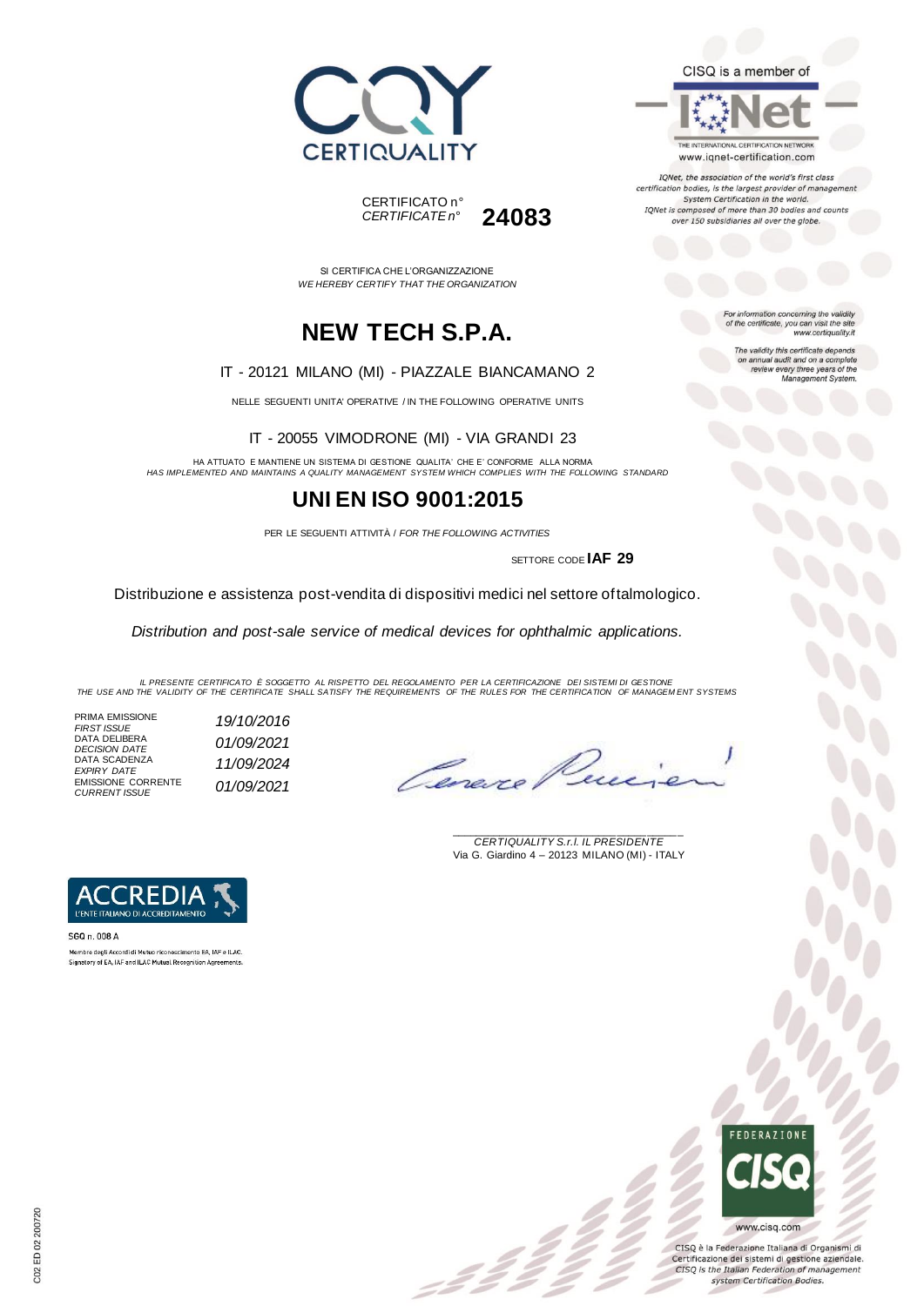





IQNet, the association of the world's first class certification bodies, is the largest provider of manageme. System Certification in the world. IQNet is composed of more than 30 bodies and counts over 150 subsidiaries all over the globe.

For information concerning the validity<br>of the certificate, you can visit the site

The validity this certificate depends on annual audit and on a complete<br>review every three years of the<br>Management System.

www.certiquality.it

SI CERTIFICA CHE L'ORGANIZZAZIONE *WE HEREBY CERTIFY THAT THE ORGANIZATION*

CERTIFICATO n°

*CERTIFICATE n°* **24083**

### **NEW TECH S.P.A.**

#### IT - 20121 MILANO (MI) - PIAZZALE BIANCAMANO 2

NELLE SEGUENTI UNITA' OPERATIVE / IN THE FOLLOWING OPERATIVE UNITS

IT - 20055 VIMODRONE (MI) - VIA GRANDI 23

HA ATTUATO E MANTIENE UN SISTEMA DI GESTIONE QUALITA' CHE E' CONFORME ALLA NORMA *HAS IMPLEMENTED AND MAINTAINS A QUALITY MANAGEMENT SYSTEM WHICH COMPLIES WITH THE FOLLOWING STANDARD*

### **UNI EN ISO 9001:2015**

PER LE SEGUENTI ATTIVITÀ / *FOR THE FOLLOWING ACTIVITIES*

SETTORE CODE **IAF 29**

Distribuzione e assistenza post-vendita di dispositivi medici nel settore oftalmologico.

*Distribution and post-sale service of medical devices for ophthalmic applications.*

IL PRESENTE CERTIFICATO E SOGGETTO AL RISPETTO DEL REGOLAMENTO PER LA CERTIFICAZIONE DEI SISTEMI DI GESTIONE<br>THE USE AND THE VALIDITY OF THE CERTIFICATE SHALL SATISFY THE REQUIREMENTS OF THE RULES FOR THE CERTIFICATION OF

 $\mathcal{L}$ 

PRIMA EMISSIONE<br>FIRST ISSUE DATA DELIBERA *DECISION DATE 01/09/2021* DATA SCADENZA *EXPIRY DATE 11/09/2024* EMISSIONE CORRENTE *CURRENT ISSUE 01/09/2021*

*FIRST ISSUE 19/10/2016*

Ceneve

\_\_\_\_\_\_\_\_\_\_\_\_\_\_\_\_\_\_\_\_\_\_\_\_\_\_\_\_\_\_\_\_\_\_\_\_\_\_\_ *CERTIQUALITY S.r.l. IL PRESIDENTE* Via G. Giardino 4 – 20123 MILANO (MI) - ITALY



SGQ n. 008 A Membro degli Accordi di Mutuo riconoscimento EA. IAF e ILAC. Signatory of EA, IAF and ILAC Mutual Recognition Agreements.

## **FFDFRATIONE** www.cisq.com

CISQ è la Federazione Italiana di Organismi di Certificazione dei sistemi di gestione aziendale. CISQ is the Italian Federation of management system Certification Bodies.